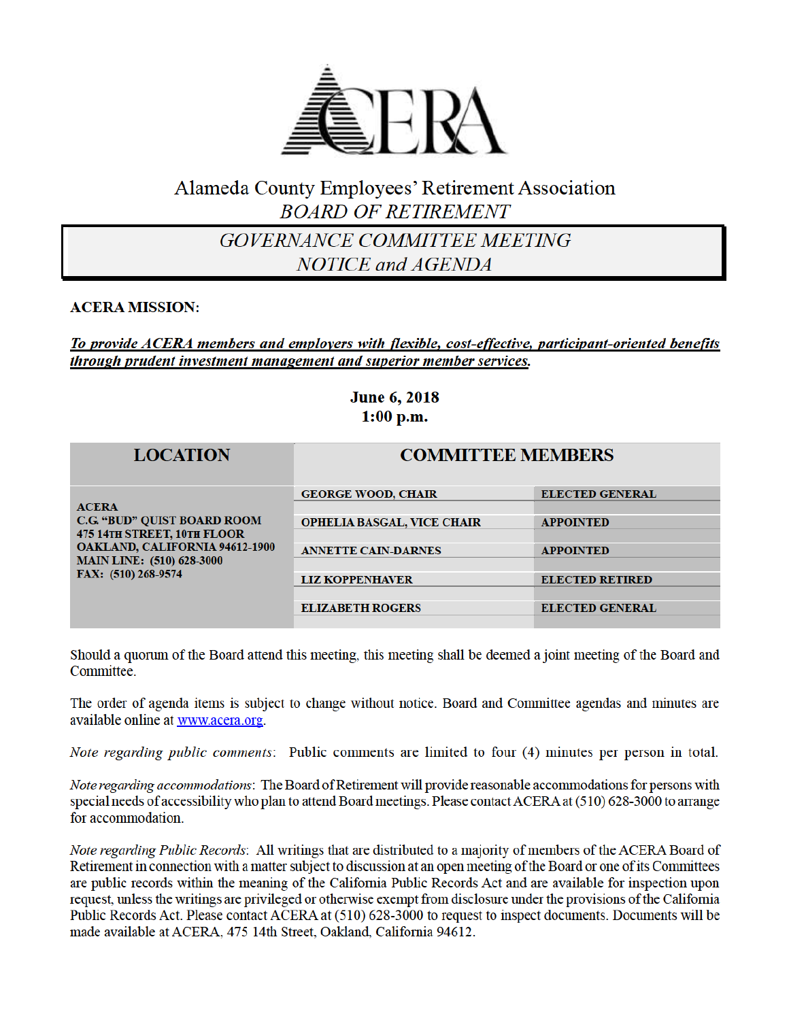

# Alameda County Employees' Retirement Association **BOARD OF RETIREMENT**

GOVERNANCE COMMITTEE MEETING **NOTICE** and AGENDA

### **ACERA MISSION:**

To provide ACERA members and employers with flexible, cost-effective, participant-oriented benefits through prudent investment management and superior member services.

# **June 6, 2018**  $1:00$  p.m.

| <b>LOCATION</b>                                                                                                                                                                              | <b>COMMITTEE MEMBERS</b>          |                        |
|----------------------------------------------------------------------------------------------------------------------------------------------------------------------------------------------|-----------------------------------|------------------------|
| <b>ACERA</b><br><b>C.G. "BUD" QUIST BOARD ROOM</b><br><b>475 14TH STREET, 10TH FLOOR</b><br><b>OAKLAND, CALIFORNIA 94612-1900</b><br><b>MAIN LINE:</b> (510) 628-3000<br>FAX: (510) 268-9574 | <b>GEORGE WOOD, CHAIR</b>         | <b>ELECTED GENERAL</b> |
|                                                                                                                                                                                              |                                   |                        |
|                                                                                                                                                                                              | <b>OPHELIA BASGAL, VICE CHAIR</b> | <b>APPOINTED</b>       |
|                                                                                                                                                                                              |                                   |                        |
|                                                                                                                                                                                              | <b>ANNETTE CAIN-DARNES</b>        | <b>APPOINTED</b>       |
|                                                                                                                                                                                              |                                   |                        |
|                                                                                                                                                                                              | <b>LIZ KOPPENHAVER</b>            | <b>ELECTED RETIRED</b> |
|                                                                                                                                                                                              |                                   |                        |
|                                                                                                                                                                                              | <b>ELIZABETH ROGERS</b>           | <b>ELECTED GENERAL</b> |
|                                                                                                                                                                                              |                                   |                        |

Should a quorum of the Board attend this meeting, this meeting shall be deemed a joint meeting of the Board and Committee.

The order of agenda items is subject to change without notice. Board and Committee agendas and minutes are available online at www.acera.org.

Note regarding public comments: Public comments are limited to four (4) minutes per person in total.

Note regarding accommodations: The Board of Retirement will provide reasonable accommodations for persons with special needs of accessibility who plan to attend Board meetings. Please contact ACERA at (510) 628-3000 to arrange for accommodation.

Note regarding Public Records: All writings that are distributed to a majority of members of the ACERA Board of Retirement in connection with a matter subject to discussion at an open meeting of the Board or one of its Committees are public records within the meaning of the California Public Records Act and are available for inspection upon request, unless the writings are privileged or otherwise exempt from disclosure under the provisions of the California Public Records Act. Please contact ACERA at (510) 628-3000 to request to inspect documents. Documents will be made available at ACERA, 475 14th Street, Oakland, California 94612.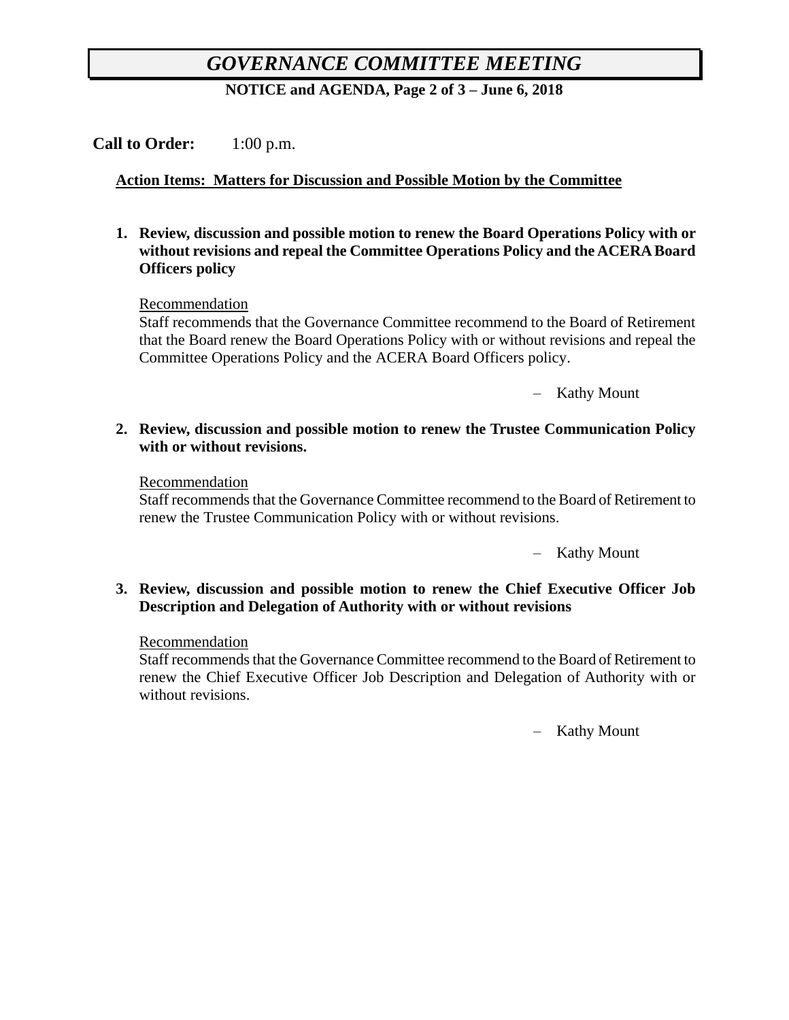# *GOVERNANCE COMMITTEE MEETING*

**NOTICE and AGENDA, Page 2 of 3 – June 6, 2018**

# **Call to Order:** 1:00 p.m.

# **Action Items: Matters for Discussion and Possible Motion by the Committee**

**1. Review, discussion and possible motion to renew the Board Operations Policy with or without revisions and repeal the Committee Operations Policy and the ACERA Board Officers policy**

#### Recommendation

Staff recommends that the Governance Committee recommend to the Board of Retirement that the Board renew the Board Operations Policy with or without revisions and repeal the Committee Operations Policy and the ACERA Board Officers policy.

– Kathy Mount

#### **2. Review, discussion and possible motion to renew the Trustee Communication Policy with or without revisions.**

#### Recommendation

Staff recommends that the Governance Committee recommend to the Board of Retirement to renew the Trustee Communication Policy with or without revisions.

– Kathy Mount

#### **3. Review, discussion and possible motion to renew the Chief Executive Officer Job Description and Delegation of Authority with or without revisions**

#### Recommendation

Staff recommends that the Governance Committee recommend to the Board of Retirement to renew the Chief Executive Officer Job Description and Delegation of Authority with or without revisions.

– Kathy Mount